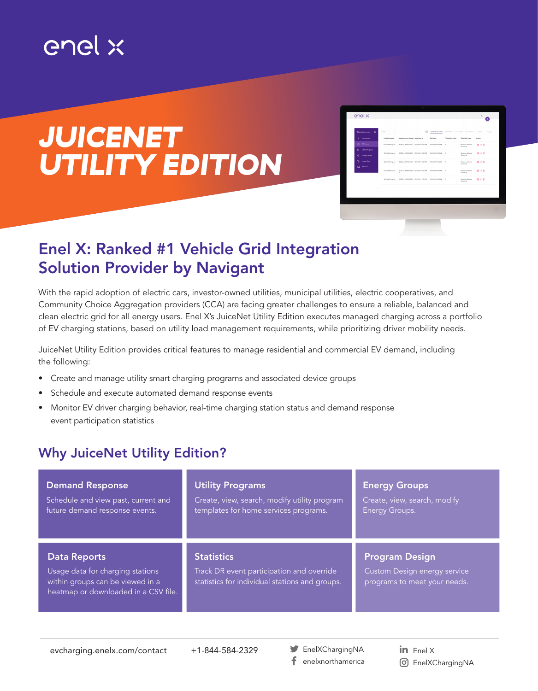## enel x

# *JUICENET UTILITY EDITION*

| Threshold type<br>A.<br>User profile<br><b>Utility Program</b><br>Aggregation (Group) Start data a<br>End date<br>Threshold value<br>Action<br>囥<br><b>DR Everas</b><br>CES OAM Program<br>Maximum Allowed<br>PGER 2, PDRP19/PGE) 15/24/2019 8:00 PM<br>15/24/2019 9:00 PM<br>$\rightarrow$<br>得之音<br>Current, A.<br>弖<br>Utility Programs |  |
|--------------------------------------------------------------------------------------------------------------------------------------------------------------------------------------------------------------------------------------------------------------------------------------------------------------------------------------------|--|
|                                                                                                                                                                                                                                                                                                                                            |  |
|                                                                                                                                                                                                                                                                                                                                            |  |
| CES DAM Pregram<br>SCEW 2. PDRPOSCE) 10/24/2019 8:00 PM<br>10/24/2019 9:00 PM<br>$\rightarrow$<br><b>Maximum Allowed</b><br>0/8<br>Current, A.<br><b>Energy Groups</b><br>唬                                                                                                                                                                |  |
| 9<br>Usego Data<br>CES DAM Present<br>SCEC 1, PDRPS1SCE) 10/24/2019 8:00 PM<br>10/24/2019 9:00 PM<br>Maximum Allowed<br>$\rightarrow$<br>得之音<br>Current, A.                                                                                                                                                                                |  |
| Statistics<br>Îм<br>CES OAM Program<br>SDO1.1. PORPSASDOE 10/24/0019 8:00 PM 10/24/0019 9:00 PM 0<br>Maximum Allowed<br>作之音<br>×<br>Current, A.                                                                                                                                                                                            |  |
| CES DAM Program 5CEM 3 PDRPSISCE: 10/24/2019 7:00 PM 10/24/2019 8:00 PM 0<br><b>Maximum Allowed</b><br>0/8<br>Current, A.                                                                                                                                                                                                                  |  |

### Enel X: Ranked #1 Vehicle Grid Integration Solution Provider by Navigant

With the rapid adoption of electric cars, investor-owned utilities, municipal utilities, electric cooperatives, and Community Choice Aggregation providers (CCA) are facing greater challenges to ensure a reliable, balanced and clean electric grid for all energy users. Enel X's JuiceNet Utility Edition executes managed charging across a portfolio of EV charging stations, based on utility load management requirements, while prioritizing driver mobility needs.

JuiceNet Utility Edition provides critical features to manage residential and commercial EV demand, including the following:

- Create and manage utility smart charging programs and associated device groups
- Schedule and execute automated demand response events
- Monitor EV driver charging behavior, real-time charging station status and demand response event participation statistics

#### Why JuiceNet Utility Edition?

| <b>Demand Response</b>                                                                                                              | <b>Utility Programs</b>                                                                                          | <b>Energy Groups</b>                                                                  |
|-------------------------------------------------------------------------------------------------------------------------------------|------------------------------------------------------------------------------------------------------------------|---------------------------------------------------------------------------------------|
| Schedule and view past, current and                                                                                                 | Create, view, search, modify utility program                                                                     | Create, view, search, modify                                                          |
| future demand response events.                                                                                                      | templates for home services programs.                                                                            | Energy Groups.                                                                        |
| <b>Data Reports</b><br>Usage data for charging stations<br>within groups can be viewed in a<br>heatmap or downloaded in a CSV file. | <b>Statistics</b><br>Track DR event participation and override<br>statistics for individual stations and groups. | <b>Program Design</b><br>Custom Design energy service<br>programs to meet your needs. |

evcharging.enelx.com/contact +1-844-584-2329

EnelXChargingNA f. enelxnorthamerica

in Enel  $X$ EnelXChargingNA